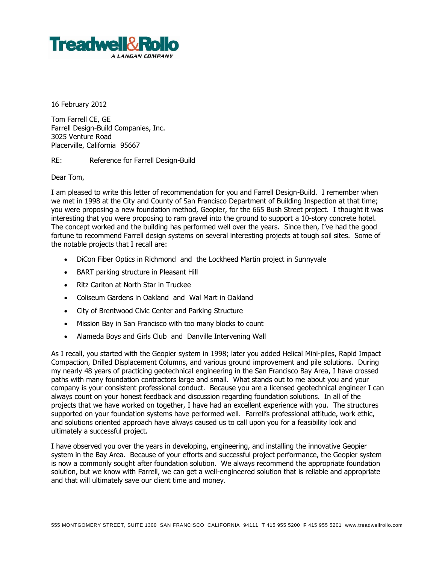

16 February 2012

Tom Farrell CE, GE Farrell Design-Build Companies, Inc. 3025 Venture Road Placerville, California 95667

RE: Reference for Farrell Design-Build

Dear Tom,

I am pleased to write this letter of recommendation for you and Farrell Design-Build. I remember when we met in 1998 at the City and County of San Francisco Department of Building Inspection at that time; you were proposing a new foundation method, Geopier, for the 665 Bush Street project. I thought it was interesting that you were proposing to ram gravel into the ground to support a 10-story concrete hotel. The concept worked and the building has performed well over the years. Since then, I've had the good fortune to recommend Farrell design systems on several interesting projects at tough soil sites. Some of the notable projects that I recall are:

- DiCon Fiber Optics in Richmond and the Lockheed Martin project in Sunnyvale
- BART parking structure in Pleasant Hill
- Ritz Carlton at North Star in Truckee
- Coliseum Gardens in Oakland and Wal Mart in Oakland
- City of Brentwood Civic Center and Parking Structure
- Mission Bay in San Francisco with too many blocks to count
- Alameda Boys and Girls Club and Danville Intervening Wall

As I recall, you started with the Geopier system in 1998; later you added Helical Mini-piles, Rapid Impact Compaction, Drilled Displacement Columns, and various ground improvement and pile solutions. During my nearly 48 years of practicing geotechnical engineering in the San Francisco Bay Area, I have crossed paths with many foundation contractors large and small. What stands out to me about you and your company is your consistent professional conduct. Because you are a licensed geotechnical engineer I can always count on your honest feedback and discussion regarding foundation solutions. In all of the projects that we have worked on together, I have had an excellent experience with you. The structures supported on your foundation systems have performed well. Farrell's professional attitude, work ethic, and solutions oriented approach have always caused us to call upon you for a feasibility look and ultimately a successful project.

I have observed you over the years in developing, engineering, and installing the innovative Geopier system in the Bay Area. Because of your efforts and successful project performance, the Geopier system is now a commonly sought after foundation solution. We always recommend the appropriate foundation solution, but we know with Farrell, we can get a well-engineered solution that is reliable and appropriate and that will ultimately save our client time and money.